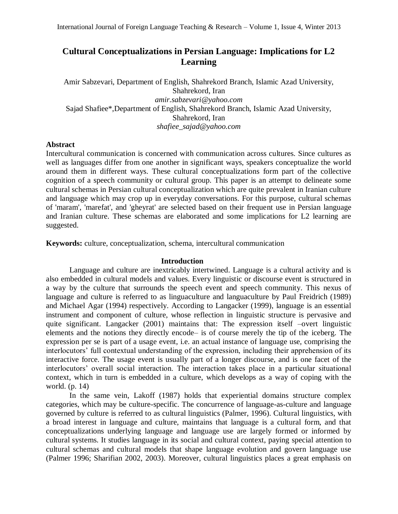# **Cultural Conceptualizations in Persian Language: Implications for L2 Learning**

Amir Sabzevari, Department of English, Shahrekord Branch, Islamic Azad University, Shahrekord, Iran *[amir.sabzevari@yahoo.com](mailto:amir.sabzevari@yahoo.com)* Sajad Shafiee\*,Department of English, Shahrekord Branch, Islamic Azad University, Shahrekord, Iran *shafiee\_sajad@yahoo.com*

## **Abstract**

Intercultural communication is concerned with communication across cultures. Since cultures as well as languages differ from one another in significant ways, speakers conceptualize the world around them in different ways. These cultural conceptualizations form part of the collective cognition of a speech community or cultural group. This paper is an attempt to delineate some cultural schemas in Persian cultural conceptualization which are quite prevalent in Iranian culture and language which may crop up in everyday conversations. For this purpose, cultural schemas of 'maram', 'marefat', and 'gheyrat' are selected based on their frequent use in Persian language and Iranian culture. These schemas are elaborated and some implications for L2 learning are suggested.

**Keywords:** culture, conceptualization, schema, intercultural communication

## **Introduction**

Language and culture are inextricably intertwined. Language is a cultural activity and is also embedded in cultural models and values. Every linguistic or discourse event is structured in a way by the culture that surrounds the speech event and speech community. This nexus of language and culture is referred to as linguaculture and languaculture by Paul Freidrich (1989) and Michael Agar (1994) respectively. According to Langacker (1999), language is an essential instrument and component of culture, whose reflection in linguistic structure is pervasive and quite significant. Langacker (2001) maintains that: The expression itself –overt linguistic elements and the notions they directly encode– is of course merely the tip of the iceberg. The expression per se is part of a usage event, i.e. an actual instance of language use, comprising the interlocutors' full contextual understanding of the expression, including their apprehension of its interactive force. The usage event is usually part of a longer discourse, and is one facet of the interlocutors' overall social interaction. The interaction takes place in a particular situational context, which in turn is embedded in a culture, which develops as a way of coping with the world. (p. 14)

In the same vein, Lakoff (1987) holds that experiential domains structure complex categories, which may be culture-specific. The concurrence of language-as-culture and language governed by culture is referred to as cultural linguistics (Palmer, 1996). Cultural linguistics, with a broad interest in language and culture, maintains that language is a cultural form, and that conceptualizations underlying language and language use are largely formed or informed by cultural systems. It studies language in its social and cultural context, paying special attention to cultural schemas and cultural models that shape language evolution and govern language use (Palmer 1996; Sharifian 2002, 2003). Moreover, cultural linguistics places a great emphasis on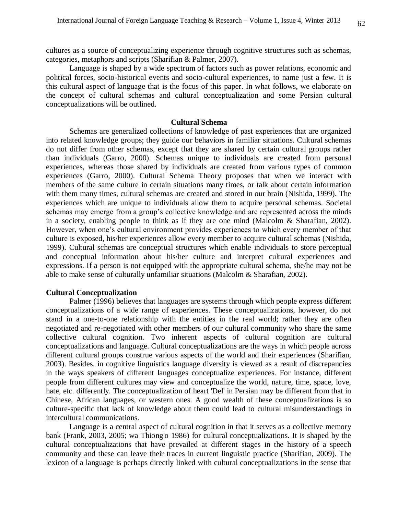cultures as a source of conceptualizing experience through cognitive structures such as schemas, categories, metaphors and scripts (Sharifian & Palmer, 2007).

Language is shaped by a wide spectrum of factors such as power relations, economic and political forces, socio-historical events and socio-cultural experiences, to name just a few. It is this cultural aspect of language that is the focus of this paper. In what follows, we elaborate on the concept of cultural schemas and cultural conceptualization and some Persian cultural conceptualizations will be outlined.

### **Cultural Schema**

Schemas are generalized collections of knowledge of past experiences that are organized into related knowledge groups; they guide our behaviors in familiar situations. Cultural schemas do not differ from other schemas, except that they are shared by certain cultural groups rather than individuals (Garro, 2000). Schemas unique to individuals are created from personal experiences, whereas those shared by individuals are created from various types of common experiences (Garro, 2000). Cultural Schema Theory proposes that when we interact with members of the same culture in certain situations many times, or talk about certain information with them many times, cultural schemas are created and stored in our brain (Nishida, 1999). The experiences which are unique to individuals allow them to acquire personal schemas. Societal schemas may emerge from a group's collective knowledge and are represented across the minds in a society, enabling people to think as if they are one mind (Malcolm & Sharafian, 2002). However, when one's cultural environment provides experiences to which every member of that culture is exposed, his/her experiences allow every member to acquire cultural schemas (Nishida, 1999). Cultural schemas are conceptual structures which enable individuals to store perceptual and conceptual information about his/her culture and interpret cultural experiences and expressions. If a person is not equipped with the appropriate cultural schema, she/he may not be able to make sense of culturally unfamiliar situations (Malcolm & Sharafian, 2002).

## **Cultural Conceptualization**

Palmer (1996) believes that languages are systems through which people express different conceptualizations of a wide range of experiences. These conceptualizations, however, do not stand in a one-to-one relationship with the entities in the real world; rather they are often negotiated and re-negotiated with other members of our cultural community who share the same collective cultural cognition. Two inherent aspects of cultural cognition are cultural conceptualizations and language. Cultural conceptualizations are the ways in which people across different cultural groups construe various aspects of the world and their experiences (Sharifian, 2003). Besides, in cognitive linguistics language diversity is viewed as a result of discrepancies in the ways speakers of different languages conceptualize experiences. For instance, different people from different cultures may view and conceptualize the world, nature, time, space, love, hate, etc. differently. The conceptualization of heart 'Del' in Persian may be different from that in Chinese, African languages, or western ones. A good wealth of these conceptualizations is so culture-specific that lack of knowledge about them could lead to cultural misunderstandings in intercultural communications.

Language is a central aspect of cultural cognition in that it serves as a collective memory bank (Frank, 2003, 2005; wa Thiong'o 1986) for cultural conceptualizations. It is shaped by the cultural conceptualizations that have prevailed at different stages in the history of a speech community and these can leave their traces in current linguistic practice (Sharifian, 2009). The lexicon of a language is perhaps directly linked with cultural conceptualizations in the sense that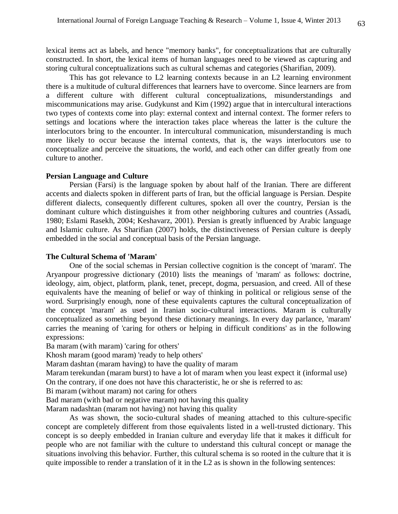lexical items act as labels, and hence "memory banks", for conceptualizations that are culturally constructed. In short, the lexical items of human languages need to be viewed as capturing and storing cultural conceptualizations such as cultural schemas and categories (Sharifian, 2009).

This has got relevance to L2 learning contexts because in an L2 learning environment there is a multitude of cultural differences that learners have to overcome. Since learners are from a different culture with different cultural conceptualizations, misunderstandings and miscommunications may arise. Gudykunst and Kim (1992) argue that in intercultural interactions two types of contexts come into play: external context and internal context. The former refers to settings and locations where the interaction takes place whereas the latter is the culture the interlocutors bring to the encounter. In intercultural communication, misunderstanding is much more likely to occur because the internal contexts, that is, the ways interlocutors use to conceptualize and perceive the situations, the world, and each other can differ greatly from one culture to another.

## **Persian Language and Culture**

Persian (Farsi) is the language spoken by about half of the Iranian. There are different accents and dialects spoken in different parts of Iran, but the official language is Persian. Despite different dialects, consequently different cultures, spoken all over the country, Persian is the dominant culture which distinguishes it from other neighboring cultures and countries (Assadi, 1980; Eslami Rasekh, 2004; Keshavarz, 2001). Persian is greatly influenced by Arabic language and Islamic culture. As Sharifian (2007) holds, the distinctiveness of Persian culture is deeply embedded in the social and conceptual basis of the Persian language.

# **The Cultural Schema of 'Maram'**

One of the social schemas in Persian collective cognition is the concept of 'maram'. The Aryanpour progressive dictionary (2010) lists the meanings of 'maram' as follows: doctrine, ideology, aim, object, platform, plank, tenet, precept, dogma, persuasion, and creed. All of these equivalents have the meaning of belief or way of thinking in political or religious sense of the word. Surprisingly enough, none of these equivalents captures the cultural conceptualization of the concept 'maram' as used in Iranian socio-cultural interactions. Maram is culturally conceptualized as something beyond these dictionary meanings. In every day parlance, 'maram' carries the meaning of 'caring for others or helping in difficult conditions' as in the following expressions:

Ba maram (with maram) 'caring for others'

Khosh maram (good maram) 'ready to help others'

Maram dashtan (maram having) to have the quality of maram

Maram terekundan (maram burst) to have a lot of maram when you least expect it (informal use) On the contrary, if one does not have this characteristic, he or she is referred to as:

Bi maram (without maram) not caring for others

Bad maram (with bad or negative maram) not having this quality

Maram nadashtan (maram not having) not having this quality

As was shown, the socio-cultural shades of meaning attached to this culture-specific concept are completely different from those equivalents listed in a well-trusted dictionary. This concept is so deeply embedded in Iranian culture and everyday life that it makes it difficult for people who are not familiar with the culture to understand this cultural concept or manage the situations involving this behavior. Further, this cultural schema is so rooted in the culture that it is quite impossible to render a translation of it in the L2 as is shown in the following sentences: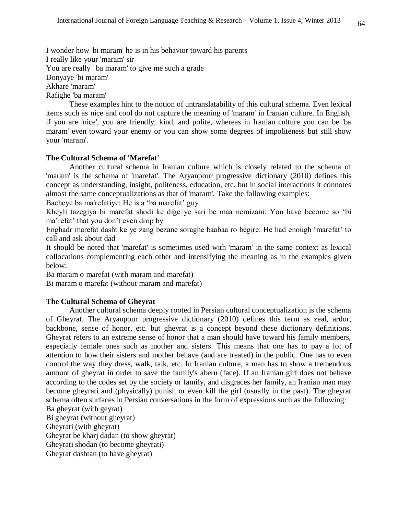I wonder how 'bi maram' he is in his behavior toward his parents I really like your 'maram' sir You are really ' ba maram' to give me such a grade Donyaye 'bi maram' Akhare 'maram' Rafighe 'ba maram'

These examples hint to the notion of untranslatability of this cultural schema. Even lexical items such as nice and cool do not capture the meaning of 'maram' in Iranian culture. In English, if you are 'nice', you are friendly, kind, and polite, whereas in Iranian culture you can be 'ba maram' even toward your enemy or you can show some degrees of impoliteness but still show your 'maram'.

# **The Cultural Schema of 'Marefat'**

Another cultural schema in Iranian culture which is closely related to the schema of 'maram' is the schema of 'marefat'. The Aryanpour progressive dictionary (2010) defines this concept as understanding, insight, politeness, education, etc. but in social interactions it connotes almost the same conceptualizations as that of 'maram'. Take the following examples:

Bacheye ba ma'refatiye: He is a 'ba marefat' guy

Kheyli tazegiya bi marefat shodi ke dige ye sari be maa nemizani: You have become so 'bi ma'refat' that you don't even drop by

Enghadr marefat dasht ke ye zang bezane soraghe baabaa ro begire: He had enough 'marefat' to call and ask about dad

It should be noted that 'marefat' is sometimes used with 'maram' in the same context as lexical collocations complementing each other and intensifying the meaning as in the examples given below:

Ba maram o marefat (with maram and marefat)

Bi maram o marefat (without maram and marefat)

## **The Cultural Schema of Gheyrat**

Another cultural schema deeply rooted in Persian cultural conceptualization is the schema of Gheyrat. The Aryanpour progressive dictionary (2010) defines this term as zeal, ardor, backbone, sense of honor, etc. but gheyrat is a concept beyond these dictionary definitions. Gheyrat refers to an extreme sense of honor that a man should have toward his family members, especially female ones such as mother and sisters. This means that one has to pay a lot of attention to how their sisters and mother behave (and are treated) in the public. One has to even control the way they dress, walk, talk, etc. In Iranian culture, a man has to show a tremendous amount of gheyrat in order to save the family's aberu (face). If an Iranian girl does not behave according to the codes set by the society or family, and disgraces her family, an Iranian man may become gheyrati and (physically) punish or even kill the girl (usually in the past). The gheyrat schema often surfaces in Persian conversations in the form of expressions such as the following: Ba gheyrat (with geyrat)

Bi gheyrat (without gheyrat) Gheyrati (with gheyrat) Gheyrat be kharj dadan (to show gheyrat) Gheyrati shodan (to become gheyrati) Gheyrat dashtan (to have gheyrat)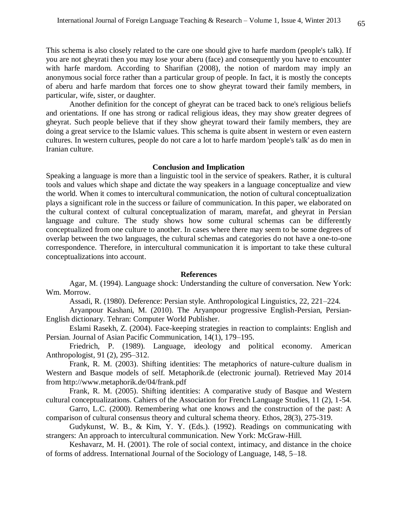This schema is also closely related to the care one should give to harfe mardom (people's talk). If you are not gheyrati then you may lose your aberu (face) and consequently you have to encounter with harfe mardom. According to Sharifian (2008), the notion of mardom may imply an anonymous social force rather than a particular group of people. In fact, it is mostly the concepts of aberu and harfe mardom that forces one to show gheyrat toward their family members, in particular, wife, sister, or daughter.

Another definition for the concept of gheyrat can be traced back to one's religious beliefs and orientations. If one has strong or radical religious ideas, they may show greater degrees of gheyrat. Such people believe that if they show gheyrat toward their family members, they are doing a great service to the Islamic values. This schema is quite absent in western or even eastern cultures. In western cultures, people do not care a lot to harfe mardom 'people's talk' as do men in Iranian culture.

### **Conclusion and Implication**

Speaking a language is more than a linguistic tool in the service of speakers. Rather, it is cultural tools and values which shape and dictate the way speakers in a language conceptualize and view the world. When it comes to intercultural communication, the notion of cultural conceptualization plays a significant role in the success or failure of communication. In this paper, we elaborated on the cultural context of cultural conceptualization of maram, marefat, and gheyrat in Persian language and culture. The study shows how some cultural schemas can be differently conceptualized from one culture to another. In cases where there may seem to be some degrees of overlap between the two languages, the cultural schemas and categories do not have a one-to-one correspondence. Therefore, in intercultural communication it is important to take these cultural conceptualizations into account.

## **References**

Agar, M. (1994). Language shock: Understanding the culture of conversation. New York: Wm. Morrow.

Assadi, R. (1980). Deference: Persian style. Anthropological Linguistics, 22, 221–224.

Aryanpour Kashani, M. (2010). The Aryanpour progressive English-Persian, Persian-English dictionary. Tehran: Computer World Publisher.

Eslami Rasekh, Z. (2004). Face-keeping strategies in reaction to complaints: English and Persian. Journal of Asian Pacific Communication, 14(1), 179–195.

Friedrich, P. (1989). Language, ideology and political economy. American Anthropologist, 91 (2), 295–312.

Frank, R. M. (2003). Shifting identities: The metaphorics of nature-culture dualism in Western and Basque models of self. Metaphorik.de (electronic journal). Retrieved May 2014 from http://www.metaphorik.de/04/frank.pdf

Frank, R. M. (2005). Shifting identities: A comparative study of Basque and Western cultural conceptualizations. Cahiers of the Association for French Language Studies, 11 (2), 1-54.

Garro, L.C. (2000). Remembering what one knows and the construction of the past: A comparison of cultural consensus theory and cultural schema theory. Ethos, 28(3), 275-319.

Gudykunst, W. B., & Kim, Y. Y. (Eds.). (1992). Readings on communicating with strangers: An approach to intercultural communication. New York: McGraw-Hill.

Keshavarz, M. H. (2001). The role of social context, intimacy, and distance in the choice of forms of address. International Journal of the Sociology of Language, 148, 5–18.